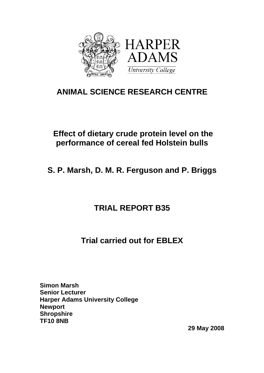

# **ANIMAL SCIENCE RESEARCH CENTRE**

# **Effect of dietary crude protein level on the performance of cereal fed Holstein bulls**

**S. P. Marsh, D. M. R. Ferguson and P. Briggs** 

# **TRIAL REPORT B35**

# **Trial carried out for EBLEX**

**Simon Marsh Senior Lecturer Harper Adams University College Newport Shropshire TF10 8NB** 

 **29 May 2008**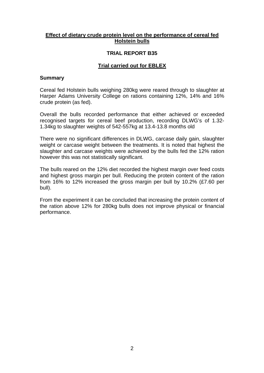#### **Effect of dietary crude protein level on the performance of cereal fed Holstein bulls**

### **TRIAL REPORT B35**

# **Trial carried out for EBLEX**

#### **Summary**

Cereal fed Holstein bulls weighing 280kg were reared through to slaughter at Harper Adams University College on rations containing 12%, 14% and 16% crude protein (as fed).

Overall the bulls recorded performance that either achieved or exceeded recognised targets for cereal beef production, recording DLWG's of 1.32- 1.34kg to slaughter weights of 542-557kg at 13.4-13.8 months old

There were no significant differences in DLWG, carcase daily gain, slaughter weight or carcase weight between the treatments. It is noted that highest the slaughter and carcase weights were achieved by the bulls fed the 12% ration however this was not statistically significant.

The bulls reared on the 12% diet recorded the highest margin over feed costs and highest gross margin per bull. Reducing the protein content of the ration from 16% to 12% increased the gross margin per bull by 10.2% (£7.60 per bull).

From the experiment it can be concluded that increasing the protein content of the ration above 12% for 280kg bulls does not improve physical or financial performance.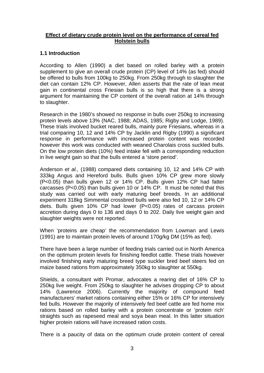### **Effect of dietary crude protein level on the performance of cereal fed Holstein bulls**

# **1.1 Introduction**

According to Allen (1990) a diet based on rolled barley with a protein supplement to give an overall crude protein (CP) level of 14% (as fed) should be offered to bulls from 100kg to 250kg. From 250kg through to slaughter the diet can contain 12% CP. However, Allen asserts that the rate of lean meat gain in continental cross Friesian bulls is so high that there is a strong argument for maintaining the CP content of the overall ration at 14% through to slaughter.

Research in the 1980's showed no response in bulls over 250kg to increasing protein levels above 13% (NAC, 1988; ADAS, 1985; Rigby and Lodge, 1989). These trials involved bucket reared bulls, mainly pure Friesians, whereas in a trial comparing 10, 12 and 14% CP by Jacklin and Rigby (1990) a significant response in performance with increased protein content was recorded however this work was conducted with weaned Charolais cross suckled bulls. On the low protein diets (10%) feed intake fell with a corresponding reduction in live weight gain so that the bulls entered a 'store period'.

Anderson *et al.,* (1988) compared diets containing 10, 12 and 14% CP with 333kg Angus and Hereford bulls. Bulls given 10% CP grew more slowly (P<0.05) than bulls given 12 or 14% CP. Bulls given 12% CP had fatter carcasses (P<0.05) than bulls given 10 or 14% CP. It must be noted that this study was carried out with early maturing beef breeds. In an additional experiment 318kg Simmental crossbred bulls were also fed 10, 12 or 14% CP diets. Bulls given 10% CP had lower (P<0.05) rates of carcass protein accretion during days 0 to 136 and days 0 to 202. Daily live weight gain and slaughter weights were not reported.

When 'proteins are cheap' the recommendation from Lowman and Lewis (1991) are to maintain protein levels of around 170g/kg DM (15% as fed).

There have been a large number of feeding trials carried out in North America on the optimum protein levels for finishing feedlot cattle. These trials however involved finishing early maturing breed type suckler bred beef steers fed on maize based rations from approximately 350kg to slaughter at 550kg.

Shields, a consultant with Promar, advocates a rearing diet of 16% CP to 250kg live weight. From 250kg to slaughter he advises dropping CP to about 14% (Lawrence 2006). Currently the majority of compound feed manufacturers' market rations containing either 15% or 16% CP for intensively fed bulls. However the majority of intensively fed beef cattle are fed home mix rations based on rolled barley with a protein concentrate or 'protein rich' straights such as rapeseed meal and soya bean meal. In this latter situation higher protein rations will have increased ration costs.

There is a paucity of data on the optimum crude protein content of cereal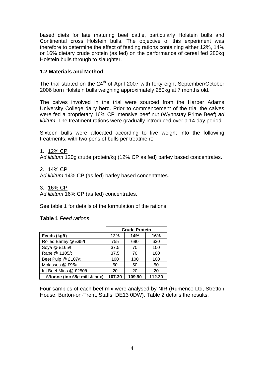based diets for late maturing beef cattle, particularly Holstein bulls and Continental cross Holstein bulls. The objective of this experiment was therefore to determine the effect of feeding rations containing either 12%, 14% or 16% dietary crude protein (as fed) on the performance of cereal fed 280kg Holstein bulls through to slaughter.

# **1.2 Materials and Method**

The trial started on the  $24<sup>th</sup>$  of April 2007 with forty eight September/October 2006 born Holstein bulls weighing approximately 280kg at 7 months old.

The calves involved in the trial were sourced from the Harper Adams University College dairy herd. Prior to commencement of the trial the calves were fed a proprietary 16% CP intensive beef nut (Wynnstay Prime Beef) *ad libitum*. The treatment rations were gradually introduced over a 14 day period.

Sixteen bulls were allocated according to live weight into the following treatments, with two pens of bulls per treatment:

1. 12% CP

A*d libitum* 120g crude protein/kg (12% CP as fed) barley based concentrates.

2. 14% CP

A*d libitum* 14% CP (as fed) barley based concentrates.

3. 16% CP

A*d libitum* 16% CP (as fed) concentrates.

See table 1 for details of the formulation of the rations.

#### **Table 1** *Feed rations*

|                               | <b>Crude Protein</b> |        |        |  |  |
|-------------------------------|----------------------|--------|--------|--|--|
| Feeds (kg/t)                  | 14%<br>12%<br>16%    |        |        |  |  |
| Rolled Barley @ £95/t         | 755                  | 690    | 630    |  |  |
| Soya @ £165/t                 | 37.5                 | 70     | 100    |  |  |
| Rape @ £105/t                 | 37.5                 | 70     | 100    |  |  |
| Beet Pulp @ £107/t            | 100                  | 100    | 100    |  |  |
| Molasses @ £95/t              | 50                   | 50     | 50     |  |  |
| Int Beef Mins @ £250/t        | 20                   | 20     | 20     |  |  |
| £/tonne (inc £5/t mill & mix) | 107.30               | 109.90 | 112.30 |  |  |

Four samples of each beef mix were analysed by NIR (Rumenco Ltd, Stretton House, Burton-on-Trent, Staffs, DE13 0DW). Table 2 details the results.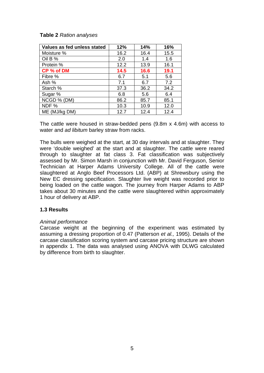### **Table 2** *Ration analyses*

| Values as fed unless stated | 12%  | 14%  | 16%  |
|-----------------------------|------|------|------|
| Moisture %                  | 16.2 | 16.4 | 15.5 |
| Oil B %                     | 2.0  | 1.4  | 1.6  |
| Protein %                   | 12.2 | 13.9 | 16.1 |
| CP % of DM                  | 14.5 | 16.6 | 19.1 |
| Fibre %                     | 6.7  | 5.1  | 5.6  |
| Ash %                       | 7.1  | 6.7  | 7.2  |
| Starch %                    | 37.3 | 36.2 | 34.2 |
| Sugar %                     | 6.8  | 5.6  | 6.4  |
| NCGD % (DM)                 | 86.2 | 85.7 | 85.1 |
| NDF%                        | 10.3 | 10.9 | 12.0 |
| ME (MJ/kg DM)               | 12.7 | 12.4 | 12.4 |

The cattle were housed in straw-bedded pens (9.8m x 4.6m) with access to water and *ad libitum* barley straw from racks.

The bulls were weighed at the start, at 30 day intervals and at slaughter. They were 'double weighed' at the start and at slaughter. The cattle were reared through to slaughter at fat class 3. Fat classification was subjectively assessed by Mr. Simon Marsh in conjunction with Mr. David Ferguson, Senior Technician at Harper Adams University College. All of the cattle were slaughtered at Anglo Beef Processors Ltd. (ABP) at Shrewsbury using the New EC dressing specification. Slaughter live weight was recorded prior to being loaded on the cattle wagon. The journey from Harper Adams to ABP takes about 30 minutes and the cattle were slaughtered within approximately 1 hour of delivery at ABP.

### **1.3 Results**

#### *Animal performance*

Carcase weight at the beginning of the experiment was estimated by assuming a dressing proportion of 0.47 (Patterson *et al.,* 1995). Details of the carcase classification scoring system and carcase pricing structure are shown in appendix 1. The data was analysed using ANOVA with DLWG calculated by difference from birth to slaughter.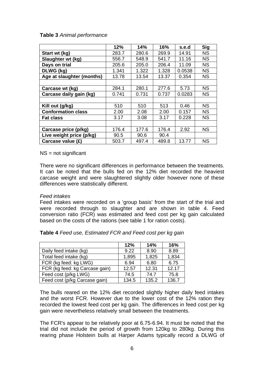#### **Table 3** *Animal performance*

|                           | 12%   | 14%   | 16%   | s.e.d  | <b>Sig</b> |
|---------------------------|-------|-------|-------|--------|------------|
| Start wt (kg)             | 283.7 | 280.6 | 269.9 | 14.91  | <b>NS</b>  |
| Slaughter wt (kg)         | 556.7 | 548.9 | 541.7 | 11.16  | <b>NS</b>  |
| Days on trial             | 205.6 | 205.0 | 206.4 | 11.09  | <b>NS</b>  |
| DLWG (kg)                 | 1.341 | 1.322 | 1.328 | 0.0538 | <b>NS</b>  |
| Age at slaughter (months) | 13.78 | 13.54 | 13.37 | 0.354  | <b>NS</b>  |
|                           |       |       |       |        |            |
| Carcase wt (kg)           | 284.1 | 280.1 | 277.6 | 5.73   | <b>NS</b>  |
| Carcase daily gain (kg)   | 0.741 | 0.731 | 0.737 | 0.0283 | <b>NS</b>  |
|                           |       |       |       |        |            |
| Kill out (g/kg)           | 510   | 510   | 513   | 0.46   | <b>NS</b>  |
| <b>Conformation class</b> | 2.00  | 2.08  | 2.00  | 0.157  | <b>NS</b>  |
| <b>Fat class</b>          | 3.17  | 3.08  | 3.17  | 0.228  | <b>NS</b>  |
|                           |       |       |       |        |            |
| Carcase price (p/kg)      | 176.4 | 177.6 | 176.4 | 2.92   | <b>NS</b>  |
| Live weight price (p/kg)  | 90.5  | 90.6  | 90.4  |        |            |
| Carcase value (£)         | 503.7 | 497.4 | 489.8 | 13.77  | <b>NS</b>  |

NS = not significant

There were no significant differences in performance between the treatments. It can be noted that the bulls fed on the 12% diet recorded the heaviest carcase weight and were slaughtered slightly older however none of these differences were statistically different.

#### *Feed intakes*

Feed intakes were recorded on a 'group basis' from the start of the trial and were recorded through to slaughter and are shown in table 4. Feed conversion ratio (FCR) was estimated and feed cost per kg gain calculated based on the costs of the rations (see table 1 for ration costs).

| Table 4 Feed use, Estimated FCR and Feed cost per kg gain |  |
|-----------------------------------------------------------|--|
|                                                           |  |

|                                | 12%   | 14%   | 16%   |
|--------------------------------|-------|-------|-------|
| Daily feed intake (kg)         | 9.22  | 8.90  | 8.89  |
| Total feed intake (kg)         | 1,895 | 1,825 | 1,834 |
| FCR (kg feed: kg LWG)          | 6.94  | 6.80  | 6.75  |
| FCR (kg feed: kg Carcase gain) | 12.57 | 12.31 | 12.17 |
| Feed cost (p/kg LWG)           | 74.5  | 74.7  | 75.8  |
| Feed cost (p/kg Carcase gain)  | 134.5 | 135.2 | 136.7 |

The bulls reared on the 12% diet recorded slightly higher daily feed intakes and the worst FCR. However due to the lower cost of the 12% ration they recorded the lowest feed cost per kg gain. The differences in feed cost per kg gain were nevertheless relatively small between the treatments.

The FCR's appear to be relatively poor at 6.75-6.94. It must be noted that the trial did not include the period of growth from 120kg to 280kg. During this rearing phase Holstein bulls at Harper Adams typically record a DLWG of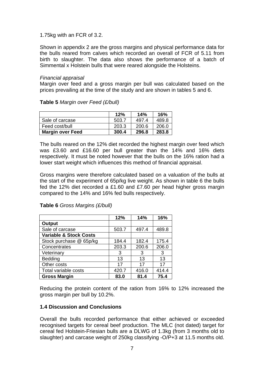### 1.75kg with an FCR of 3.2.

**Table 5** *Margin over Feed (£/bull)*

Shown in appendix 2 are the gross margins and physical performance data for the bulls reared from calves which recorded an overall of FCR of 5.11 from birth to slaughter. The data also shows the performance of a batch of Simmental x Holstein bulls that were reared alongside the Holsteins.

#### *Financial appraisal*

Margin over feed and a gross margin per bull was calculated based on the prices prevailing at the time of the study and are shown in tables 5 and 6.

|                         | 12%   | 14%   | 16%   |
|-------------------------|-------|-------|-------|
| Sale of carcase         | 503.7 | 497.4 | 489.8 |
| Feed cost/bull          | 203.3 | 200.6 | 206.0 |
| <b>Margin over Feed</b> | 300.4 | 296.8 | 283.8 |

The bulls reared on the 12% diet recorded the highest margin over feed which was £3.60 and £16.60 per bull greater than the 14% and 16% diets respectively. It must be noted however that the bulls on the 16% ration had a lower start weight which influences this method of financial appraisal.

Gross margins were therefore calculated based on a valuation of the bulls at the start of the experiment of 65p/kg live weight. As shown in table 6 the bulls fed the 12% diet recorded a £1.60 and £7.60 per head higher gross margin compared to the 14% and 16% fed bulls respectively.

|                                   | 12%   | 14%   | 16%   |
|-----------------------------------|-------|-------|-------|
| <b>Output</b>                     |       |       |       |
| Sale of carcase                   | 503.7 | 497.4 | 489.8 |
| <b>Variable &amp; Stock Costs</b> |       |       |       |
| Stock purchase @ 65p/kg           | 184.4 | 182.4 | 175.4 |
| Concentrates                      | 203.3 | 200.6 | 206.0 |
| Veterinary                        | 3     | 3     | 3     |
| <b>Bedding</b>                    | 13    | 13    | 13    |
| Other costs                       | 17    | 17    | 17    |
| Total variable costs              | 420.7 | 416.0 | 414.4 |
| <b>Gross Margin</b>               | 83.0  | 81.4  | 75.4  |

**Table 6** *Gross Margins (£/bull)* 

Reducing the protein content of the ration from 16% to 12% increased the gross margin per bull by 10.2%.

### **1.4 Discussion and Conclusions**

Overall the bulls recorded performance that either achieved or exceeded recognised targets for cereal beef production. The MLC (not dated) target for cereal fed Holstein-Friesian bulls are a DLWG of 1.3kg (from 3 months old to slaughter) and carcase weight of 250kg classifying -O/P+3 at 11.5 months old.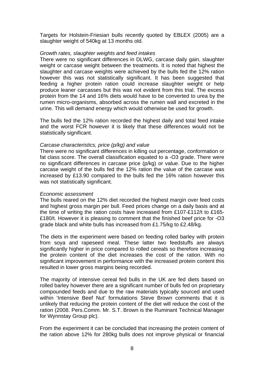Targets for Holstein-Friesian bulls recently quoted by EBLEX (2005) are a slaughter weight of 540kg at 13 months old.

#### *Growth rates, slaughter weights and feed intakes*

There were no significant differences in DLWG, carcase daily gain, slaughter weight or carcase weight between the treatments. It is noted that highest the slaughter and carcase weights were achieved by the bulls fed the 12% ration however this was not statistically significant. It has been suggested that feeding a higher protein ration could increase slaughter weight or help produce leaner carcasses but this was not evident from this trial. The excess protein from the 14 and 16% diets would have to be converted to urea by the rumen micro-organisms, absorbed across the rumen wall and excreted in the urine. This will demand energy which would otherwise be used for growth.

The bulls fed the 12% ration recorded the highest daily and total feed intake and the worst FCR however it is likely that these differences would not be statistically significant.

#### *Carcase characteristics, price (p/kg) and value*

There were no significant differences in killing out percentage, conformation or fat class score. The overall classification equated to a -O3 grade. There were no significant differences in carcase price (p/kg) or value. Due to the higher carcase weight of the bulls fed the 12% ration the value of the carcase was increased by £13.90 compared to the bulls fed the 16% ration however this was not statistically significant.

#### *Economic assessment*

The bulls reared on the 12% diet recorded the highest margin over feed costs and highest gross margin per bull. Feed prices change on a daily basis and at the time of writing the ration costs have increased from £107-£112/t to £165- £180/t. However it is pleasing to comment that the finished beef price for -O3 grade black and white bulls has increased from £1.75/kg to £2.48/kg.

The diets in the experiment were based on feeding rolled barley with protein from soya and rapeseed meal. These latter two feedstuffs are always significantly higher in price compared to rolled cereals so therefore increasing the protein content of the diet increases the cost of the ration. With no significant improvement in performance with the increased protein content this resulted in lower gross margins being recorded.

The majority of intensive cereal fed bulls in the UK are fed diets based on rolled barley however there are a significant number of bulls fed on proprietary compounded feeds and due to the raw materials typically sourced and used within 'Intensive Beef Nut' formulations Steve Brown comments that it is unlikely that reducing the protein content of the diet will reduce the cost of the ration (2008. Pers.Comm. Mr. S.T. Brown is the Ruminant Technical Manager for Wynnstay Group plc).

From the experiment it can be concluded that increasing the protein content of the ration above 12% for 280kg bulls does not improve physical or financial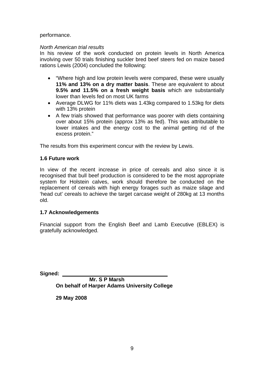#### performance.

#### *North American trial results*

In his review of the work conducted on protein levels in North America involving over 50 trials finishing suckler bred beef steers fed on maize based rations Lewis (2004) concluded the following:

- "Where high and low protein levels were compared, these were usually **11% and 13% on a dry matter basis**. These are equivalent to about **9.5% and 11.5% on a fresh weight basis** which are substantially lower than levels fed on most UK farms
- Average DLWG for 11% diets was 1.43kg compared to 1.53kg for diets with 13% protein
- A few trials showed that performance was poorer with diets containing over about 15% protein (approx 13% as fed). This was attributable to lower intakes and the energy cost to the animal getting rid of the excess protein."

The results from this experiment concur with the review by Lewis.

### **1.6 Future work**

In view of the recent increase in price of cereals and also since it is recognised that bull beef production is considered to be the most appropriate system for Holstein calves, work should therefore be conducted on the replacement of cereals with high energy forages such as maize silage and 'head cut' cereals to achieve the target carcase weight of 280kg at 13 months old.

### **1.7 Acknowledgements**

Financial support from the English Beef and Lamb Executive (EBLEX) is gratefully acknowledged.

**Signed:** 

 **Mr. S P Marsh On behalf of Harper Adams University College** 

**29 May 2008**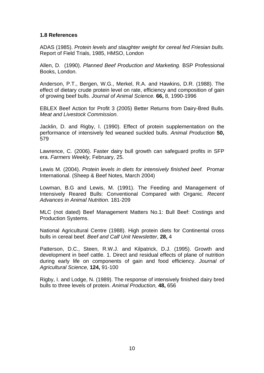#### **1.8 References**

ADAS (1985). *Protein levels and slaughter weight for cereal fed Friesian bulls.* Report of Field Trials, 1985, HMSO, London

Allen, D. (1990). *Planned Beef Production and Marketing.* BSP Professional Books, London.

Anderson, P.T., Bergen, W.G., Merkel, R.A. and Hawkins, D.R. (1988). The effect of dietary crude protein level on rate, efficiency and composition of gain of growing beef bulls. *Journal of Animal Science.* **66,** 8, 1990-1996

EBLEX Beef Action for Profit 3 (2005) Better Returns from Dairy-Bred Bulls. *Meat and Livestock Commission.*

Jacklin, D. and Rigby, I. (1990). Effect of protein supplementation on the performance of intensively fed weaned suckled bulls. *Animal Production* **50,** 579

Lawrence, C. (2006). Faster dairy bull growth can safeguard profits in SFP era. *Farmers Weekly,* February, 25.

Lewis M. (2004). *Protein levels in diets for intensively finished beef.* Promar International. (Sheep & Beef Notes, March 2004)

Lowman, B.G and Lewis, M. (1991). The Feeding and Management of Intensively Reared Bulls: Conventional Compared with Organic*. Recent Advances in Animal Nutrition.* 181-209

MLC (not dated) Beef Management Matters No.1: Bull Beef: Costings and Production Systems.

National Agricultural Centre (1988). High protein diets for Continental cross bulls in cereal beef*. Beef and Calf Unit Newsletter*, **28,** 4

Patterson, D.C., Steen, R.W.J. and Kilpatrick, D.J. (1995). Growth and development in beef cattle. 1. Direct and residual effects of plane of nutrition during early life on components of gain and food efficiency. *Journal of Agricultural Science,* **124,** 91-100

Rigby, I. and Lodge, N. (1989). The response of intensively finished dairy bred bulls to three levels of protein. *Animal Production,* **48,** 656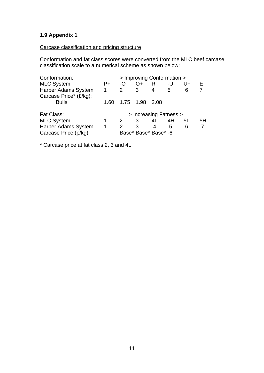# **1.9 Appendix 1**

# Carcase classification and pricing structure

Conformation and fat class scores were converted from the MLC beef carcase classification scale to a numerical scheme as shown below:

| Conformation:              | > Improving Conformation > |               |                        |      |    |    |    |
|----------------------------|----------------------------|---------------|------------------------|------|----|----|----|
| <b>MLC System</b>          | P+                         | -O            | O+                     | R    | -U | U+ |    |
| Harper Adams System        | 1                          | $\mathcal{P}$ | 3                      | 4    | 5  | 6  |    |
| Carcase Price* (£/kg):     |                            |               |                        |      |    |    |    |
| <b>Bulls</b>               | 1.60                       | 1.75 1.98     |                        | 2.08 |    |    |    |
| <b>Fat Class:</b>          |                            |               | > Increasing Fatness > |      |    |    |    |
| <b>MLC System</b>          |                            |               | 3                      | 4L   | 4H | 5L | 5H |
| <b>Harper Adams System</b> | 1                          |               | 3                      | 4    | 5  | 6  |    |
| Carcase Price (p/kg)       | Base* Base* Base* -6       |               |                        |      |    |    |    |

\* Carcase price at fat class 2, 3 and 4L